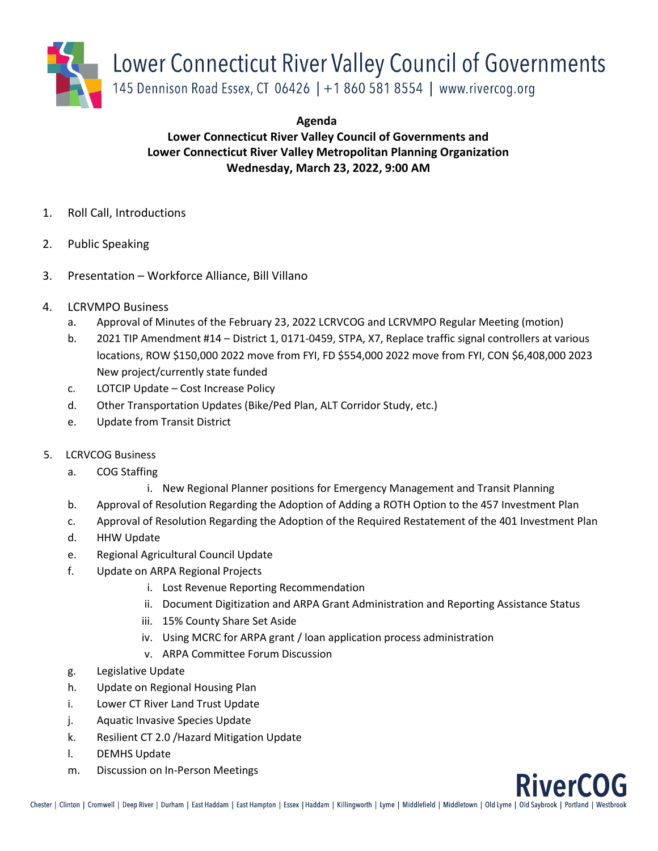

**Agenda**

## **Lower Connecticut River Valley Council of Governments and Lower Connecticut River Valley Metropolitan Planning Organization Wednesday, March 23, 2022, 9:00 AM**

- 1. Roll Call, Introductions
- 2. Public Speaking
- 3. Presentation Workforce Alliance, Bill Villano
- 4. LCRVMPO Business
	- a. Approval of Minutes of the February 23, 2022 LCRVCOG and LCRVMPO Regular Meeting (motion)
	- b. 2021 TIP Amendment #14 District 1, 0171-0459, STPA, X7, Replace traffic signal controllers at various locations, ROW \$150,000 2022 move from FYI, FD \$554,000 2022 move from FYI, CON \$6,408,000 2023 New project/currently state funded
	- c. LOTCIP Update Cost Increase Policy
	- d. Other Transportation Updates (Bike/Ped Plan, ALT Corridor Study, etc.)
	- e. Update from Transit District
- 5. LCRVCOG Business
	- a. COG Staffing
		- i. New Regional Planner positions for Emergency Management and Transit Planning
	- b. Approval of Resolution Regarding the Adoption of Adding a ROTH Option to the 457 Investment Plan
	- c. Approval of Resolution Regarding the Adoption of the Required Restatement of the 401 Investment Plan
	- d. HHW Update
	- e. Regional Agricultural Council Update
	- f. Update on ARPA Regional Projects
		- i. Lost Revenue Reporting Recommendation
		- ii. Document Digitization and ARPA Grant Administration and Reporting Assistance Status
		- iii. 15% County Share Set Aside
		- iv. Using MCRC for ARPA grant / loan application process administration
		- v. ARPA Committee Forum Discussion
	- g. Legislative Update
	- h. Update on Regional Housing Plan
	- i. Lower CT River Land Trust Update
	- j. Aquatic Invasive Species Update
	- k. Resilient CT 2.0 /Hazard Mitigation Update
	- l. DEMHS Update
	- m. Discussion on In-Person Meetings